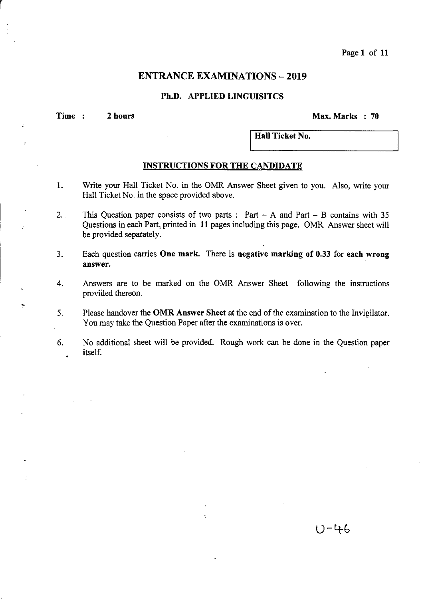Page 1 of 11

# **ENTRANCE EXAMINATIONS - 2019**

#### **Ph.D. APPLIED LINGUISITCS**

**Time 2 hours** ~ax.~arks **70** 

r

I **Hall Ticket No.** 

#### **INSTRUCTIONS FOR THE CANDIDATE**

- 1. Write your Hall Ticket No. in the OMR Answer Sheet given to you. Also, write your Hall Ticket No. in the space provided above.
- 2. This Question paper consists of two parts:  $Part A$  and  $Part B$  contains with 35 Questions in each Part, printed in 11 pages including this page. OMR Answer sheet will be provided separately.
- 3. Each question carries **One mark.** There is **negative marking of 0.33** for **each wrong answer.**
- 4. Answers are to be marked on the OMR Answer Sheet following the instructions provided thereon.
- 5. Please handover the **OMR** Answer Sheet at the end of the examination to the Invigilator. You may take the Question Paper after the examinations is over.
- 6. No additional sheet will be provided. Rough work can be done in the Question paper itself.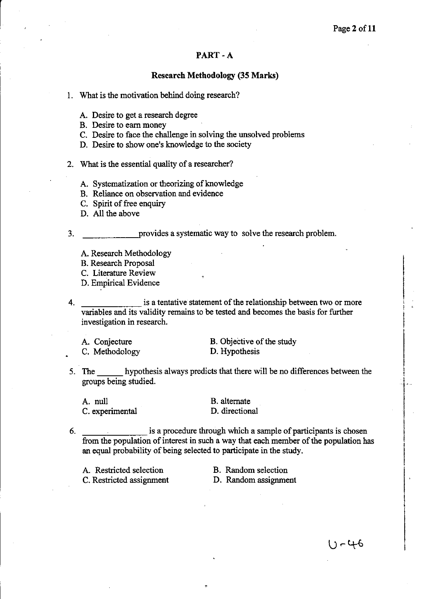### **PART-A**

#### **Research Methodology (35 Marks)**

- 1. What is the motivation behind doing research?
	- A. Desire to get a research degree
	- B. Desire to earn money
	- C. Desire to face the challenge in solving the unsolved problems
	- D. Desire to show one's knowledge to the society
- 2. What is the essential quality of a researcher?
	- A. Systematization or theorizing of knowledge
	- B. Reliance on observation and evidence
	- C. Spirit of free enquiry
	- D. All the above

3. The provides a systematic way to solve the research problem.

- A. Research Methodology
- B. Research Proposal
- C. Literature Review
- D. Empirical Evidence

4. is a tentative statement of the relationship between two or more variables and its validity remains to be tested and becomes the basis for further investigation in research.

A. Conjecture C. Methodology

B. Objective of the study D. Hypothesis

5. The hypothesis always predicts that there will be no differences between the groups being studied.

A. null C. experimental B. alternate D. directional

6. is a procedure through which a sample of participants is chosen from the population of interest in such a way that each member of the population has an equal probability of being selected to participate in the study.

+

| A. Restricted selection  |  |
|--------------------------|--|
| C. Restricted assignment |  |

B. Random selection D. Random assignment

い‐46

I- .

I

 $\mathbf{I}$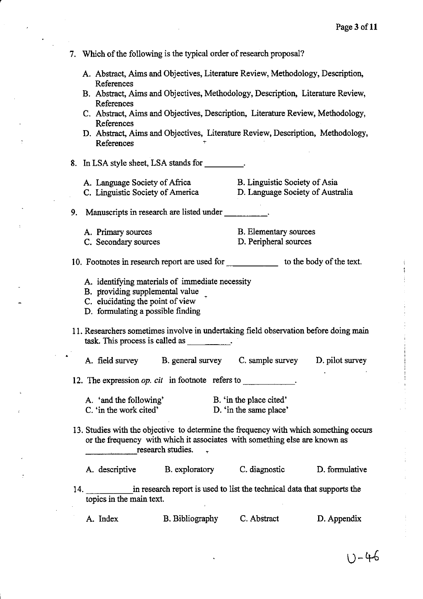|     | 7. Which of the following is the typical order of research proposal?                                                                                        |                                                   |                                                                                                                                                                     |                 |  |  |  |
|-----|-------------------------------------------------------------------------------------------------------------------------------------------------------------|---------------------------------------------------|---------------------------------------------------------------------------------------------------------------------------------------------------------------------|-----------------|--|--|--|
|     | A. Abstract, Aims and Objectives, Literature Review, Methodology, Description,                                                                              |                                                   |                                                                                                                                                                     |                 |  |  |  |
|     | References<br>B. Abstract, Aims and Objectives, Methodology, Description, Literature Review,                                                                |                                                   |                                                                                                                                                                     |                 |  |  |  |
|     | References                                                                                                                                                  |                                                   | C. Abstract, Aims and Objectives, Description, Literature Review, Methodology,                                                                                      |                 |  |  |  |
|     | References<br>References                                                                                                                                    |                                                   | D. Abstract, Aims and Objectives, Literature Review, Description, Methodology,                                                                                      |                 |  |  |  |
|     | 8. In LSA style sheet, LSA stands for _________.                                                                                                            |                                                   |                                                                                                                                                                     |                 |  |  |  |
|     | A. Language Society of Africa                                                                                                                               | C. Linguistic Society of America                  | B. Linguistic Society of Asia<br>D. Language Society of Australia                                                                                                   |                 |  |  |  |
| 9.  |                                                                                                                                                             | Manuscripts in research are listed under          |                                                                                                                                                                     |                 |  |  |  |
|     | A. Primary sources<br>C. Secondary sources                                                                                                                  |                                                   | B. Elementary sources<br>D. Peripheral sources                                                                                                                      |                 |  |  |  |
|     |                                                                                                                                                             |                                                   | 10. Footnotes in research report are used for ___________________ to the body of the text.                                                                          |                 |  |  |  |
|     | A. identifying materials of immediate necessity<br>B. providing supplemental value<br>C. elucidating the point of view<br>D. formulating a possible finding |                                                   |                                                                                                                                                                     |                 |  |  |  |
|     |                                                                                                                                                             | task. This process is called as $\qquad \qquad$ . | 11. Researchers sometimes involve in undertaking field observation before doing main                                                                                |                 |  |  |  |
|     | A. field survey B. general survey                                                                                                                           |                                                   | C. sample survey                                                                                                                                                    | D. pilot survey |  |  |  |
|     | 12. The expression <i>op. cit</i> in footnote refers to                                                                                                     |                                                   |                                                                                                                                                                     |                 |  |  |  |
|     | A. 'and the following'<br>C. 'in the work cited'                                                                                                            |                                                   | B. 'in the place cited'<br>D. 'in the same place'                                                                                                                   |                 |  |  |  |
|     |                                                                                                                                                             | research studies.                                 | 13. Studies with the objective to determine the frequency with which something occurs<br>or the frequency with which it associates with something else are known as |                 |  |  |  |
|     |                                                                                                                                                             | A. descriptive B. exploratory C. diagnostic       |                                                                                                                                                                     | D. formulative  |  |  |  |
| 14. | topics in the main text.                                                                                                                                    |                                                   | in research report is used to list the technical data that supports the                                                                                             |                 |  |  |  |
|     | A. Index                                                                                                                                                    | <b>B.</b> Bibliography                            | C. Abstract                                                                                                                                                         | D. Appendix     |  |  |  |

,

 $\overline{\phantom{a}}$ 

 $U - 46$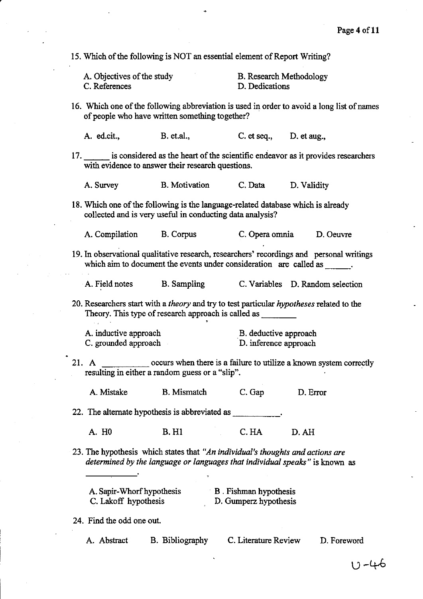15. Which of the following is NOT an essential element of Report Writing?

| A. Objectives of the study | B. Research Methodology |
|----------------------------|-------------------------|
| C. References              | D. Dedications          |

16. Which one of the following abbreviation is used in order to avoid a long list of names of people who have written something together?

A. ed.cit., B. et.al., C. et seq., D. etaug.,

17. is considered as the heart of the scientific endeavor as it provides researchers with evidence to answer their research questions.

A. Survey B. Motivation C.Data D. Validity

18. Which one of the following is the language-related database which is already collected and is very useful in conducting data analysis?

A. Compilation B. Corpus C. Opera omnia D. Oeuvre

19. In observational qualitative research, researchers' recordings and personal writings which aim to document the events under consideration are called as

,

A. Field notes B. Sampling C. Variables D. Random selection

20. Researchers start with a *theory* and try to test particular *hypotheses* related to the Theory. This type of research approach is called as \_\_\_ \_ ,

| A. inductive approach | B. deductive approach |
|-----------------------|-----------------------|
| C. grounded approach  | D. inference approach |

21. A occurs when there is a failure to utilize a known system correctly resulting in either a random guess or a "slip". .

A. Mistake B. Mismatch C.Gap D. Error

22. The alternate hypothesis is abbreviated as

A. HO B.Hl C.HA D.AH

23. The hypothesis which states that *"An individual's thoughts and actions are determined by the language or languages that individual speaks"* is known as

| A. Sapir-Whorf hypothesis | B. Fishman hypothesis |
|---------------------------|-----------------------|
| C. Lakoff hypothesis      | D. Gumperz hypothesis |

24. Find the odd one out.

A. Abstract B. Bibliography

C. Literature Review D. Foreword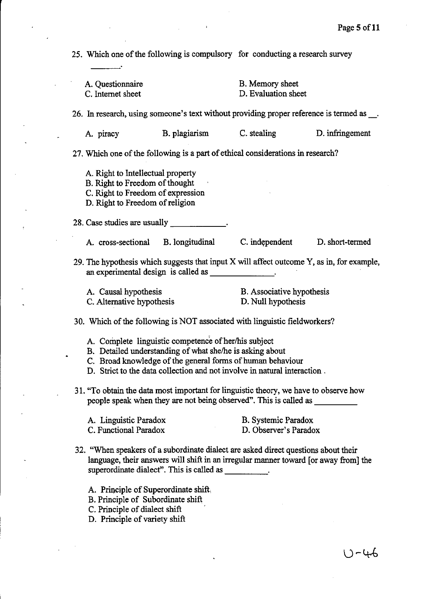25. Which one of the following is compulsory for conducting a research survey A. Questionnaire C. Internet sheet B. Memory sheet D. Evaluation sheet 26. In research, using someone's text without providing proper reference is termed as \_\_. A. piracy B. plagiarism C. stealing D. infringement 27. Which one of the following is a part of ethical considerations in research? A. Right to Intellectual property B. Right to Freedom of thought C. Right to Freedom of expression D. Right to Freedom of religion 28. Case studies are usually A. cross-sectional B. longitudinal C. independent D. short-termed 29. The hypothesis which suggests that input X will affect outcome Y, as in, for example, an experimental design is called as \_\_\_\_\_\_ \_ A. Causal hypothesis C. Alternative hypothesis B. Associative hypothesis D. Null hypothesis 30. Which of the following is NOT associated with linguistic fieldworkers? A. Complete linguistic competence of her/his subject B. Detailed understanding of what she/he is asking about C. Broad knowledge of the general forms of human behaviour D. Strict to the data collection and not involve in natural interaction. 31. "To obtain the data most important for linguistic theory, we have to observe how people speak when they are not being observed". This is called as \_\_\_\_\_\_\_\_ A. Linguistic Paradox C. Functional Paradox B. Systemic Paradox D. Observer's Paradox 32. "When speakers of a subordinate dialect are asked direct questions about their language, their answers will shift in an irregular manner toward [or away from] the superordinate dialect". This is called as \_\_\_\_\_\_\_\_\_. A. Principle of Superordinate shift, B. Principle of Subordinate shift C. Principle of dialect shift D. Principle of variety shift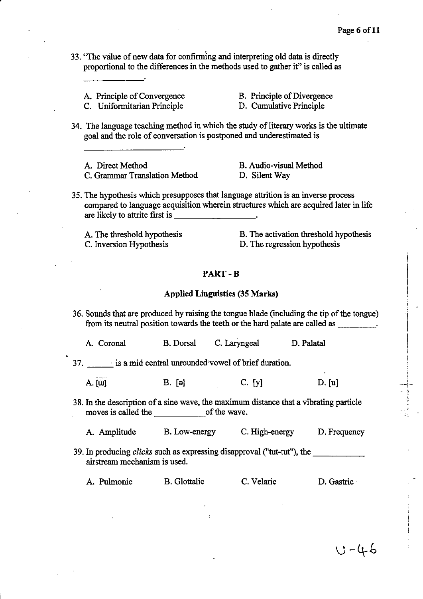.-i.-  $\cdot$  !

 $U - 46$ 

33. "The value of new data for confirming and interpreting old data is directly proportional to the differences in the methods used to gather it" is called as

A. Principle of Convergence

,

B. Principle of Divergence

C. Uniformitarian Principle

D. Cumulative Principle

34. The language teaching method in which the study of literary works is the ultimate goal and the role of conversation is postponed and underestimated is

A. Direct Method C. Grammar Translation Method

B. Audio-visual Method D. Silent Way

35. The hypothesis which presupposes that language attrition is an inverse process compared to language acquisition wherein structures which are acquired later in life are likely to attrite first is \_\_\_\_\_\_\_\_\_\_\_\_\_\_\_\_\_\_\_\_\_\_\_\_\_\_\_\_\_\_\_\_.

A. The threshold hypothesis C. Inversion Hypothesis

B. The activation threshold hypothesis D. The regression hypothesis

PART-B

#### Applied Linguistics (35 Marks)

36. Sounds that are produced by raising the tongue blade (including the tip of the tongue) from its neutral position towards the teeth or the hard palate are called as \_\_\_\_ '

A. Coronal B. Dorsal C. Laryngeal D. Palatal

37. ' is a mid central unrounded'vowel of brief duration.

A.  $[\mathbf{u}]$  B.  $[\mathbf{e}]$  C.  $[y]$  D.  $[\mathbf{u}]$ 

38. In the description of a sine wave, the maximum distance that a vibrating particle moves is called the of the wave.

A. Amplitude B. Low-energy C. High-energy D. Frequency

39. In producing *clicks* such as expressing disapproval ("tut-tut"), the \_\_\_\_ \_ airstream mechanism is used.

A. Pulmonic B. Glotta1ic C. Velaric D. Gastric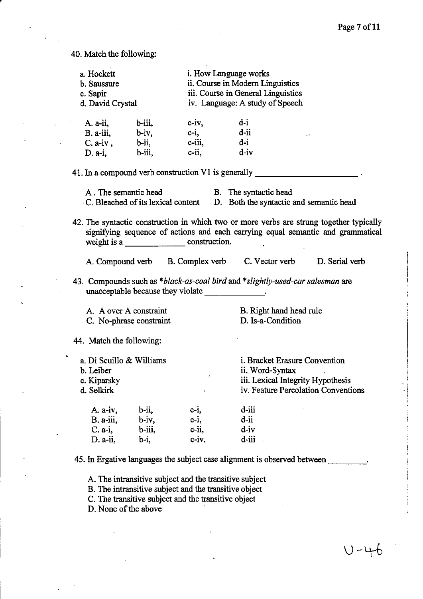40. Match the following:

| a. Hockett<br>b. Saussure<br>c. Sapir<br>d. David Crystal  |                         |                                                     | i. How Language works<br>ii. Course in Modern Linguistics<br>iii. Course in General Linguistics<br>iv. Language: A study of Speech                                         |  |
|------------------------------------------------------------|-------------------------|-----------------------------------------------------|----------------------------------------------------------------------------------------------------------------------------------------------------------------------------|--|
| A. a-ii,                                                   | b-iii,                  | $c-iv$ ,                                            | $d-i$                                                                                                                                                                      |  |
| B. a-iii,                                                  | $b - iv,$               | $c-i$ ,                                             | $d$ -ii                                                                                                                                                                    |  |
| $C. a-iv,$                                                 | b-ii,                   | $c$ -iii,                                           | $d-i$                                                                                                                                                                      |  |
| $D. a-i,$                                                  | b-iii,                  | $c$ -ii,                                            | $d - iv$                                                                                                                                                                   |  |
| 41. In a compound verb construction V1 is generally $\Box$ |                         |                                                     |                                                                                                                                                                            |  |
|                                                            |                         |                                                     | A. The semantic head B. The syntactic head                                                                                                                                 |  |
|                                                            |                         |                                                     | C. Bleached of its lexical content D. Both the syntactic and semantic head                                                                                                 |  |
|                                                            |                         |                                                     | 42. The syntactic construction in which two or more verbs are strung together typically<br>signifying sequence of actions and each carrying equal semantic and grammatical |  |
|                                                            |                         |                                                     | A. Compound verb B. Complex verb C. Vector verb D. Serial verb                                                                                                             |  |
|                                                            |                         | unacceptable because they violate ________________. | 43. Compounds such as *black-as-coal bird and *slightly-used-car salesman are                                                                                              |  |
| A. A over A constraint                                     |                         |                                                     | B. Right hand head rule                                                                                                                                                    |  |
|                                                            | C. No-phrase constraint |                                                     | D. Is-a-Condition                                                                                                                                                          |  |
| 44. Match the following:                                   |                         |                                                     |                                                                                                                                                                            |  |
| a. Di Scuillo & Williams                                   |                         |                                                     | i. Bracket Erasure Convention                                                                                                                                              |  |
| b. Leiber                                                  |                         |                                                     | ii. Word-Syntax                                                                                                                                                            |  |
| c. Kiparsky                                                |                         | 15                                                  | iii. Lexical Integrity Hypothesis                                                                                                                                          |  |
| d. Selkirk                                                 |                         |                                                     | iv. Feature Percolation Conventions                                                                                                                                        |  |
| A. a-iv,                                                   | b-ii,                   | $c-i$ ,                                             | d-iii                                                                                                                                                                      |  |
| $B. a-iii,$                                                | $b-iv,$                 | $c-i$ ,                                             | $d$ -ii                                                                                                                                                                    |  |
| $C. a-i,$                                                  | b-iii,                  | $c$ -ii,                                            | $d-iv$                                                                                                                                                                     |  |
| $D. a-ii,$                                                 | b-i,                    | $c-iv$ ,                                            | d-iii                                                                                                                                                                      |  |
|                                                            |                         |                                                     | 45. In Ergative languages the subject case alignment is observed between.                                                                                                  |  |

A. The intransitive subject and the transitive subject

B. The intransitive subject and the transitive object

C. The transitive subject and the transitive object

D. None of the above

 $U - 46$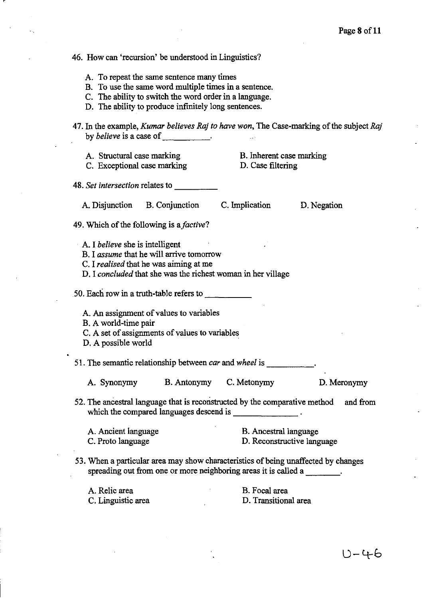#### 46. How can 'recursion' be understood in Linguistics?

- A. To repeat the same sentence many times
- B. To use the same word multiple times in a sentence.
- C. The ability to switch the word order in a language.
- D. The ability to produce infmitely long sentences.
- 47. In the example, *Kumar believes Raj to have won,* The Case-marking of the subject *Raj*  by *believe* is a case of \_\_\_\_\_\_\_\_\_\_\_.
	- A. Structural case marking C. Exceptional case marking
- B. Inherent case marking D. Case filtering
- *48. Set intersection* relates to \_\_\_\_ \_
	- A. Disjunction B. Conjunction C. Implication D. Negation

- 49. Which of the following is *afactive?* 
	- A. I *believe* she is intelligent
	- B. I *assume* that he will arrive tomorrow
	- C. I *realised* that he was aiming at me
	- D. I *concluded* that she was the richest woman in her village

 $50.$  Each row in a truth-table refers to  $\sim$ 

- A. An assignment of values to variables
- B. A world-time pair
- C. A set of assignments of values to variables
- D. A possible world

51. The semantic relationship between *car* and *wheel* is

|  | A. Synonymy | <b>B.</b> Antonymy | C. Metonymy | D. Meronymy |
|--|-------------|--------------------|-------------|-------------|
|--|-------------|--------------------|-------------|-------------|

- 52. The ancestral language that is reconstructed by the comparative method and from which the compared languages descend is \_\_\_\_\_\_ \_
	- A. Ancient language C. Proto language B. Ancestral language D. Reconstructive language
- 53. When a particular area may show characteristics of being unaffected by changes spreading out from one or more neighboring areas it is called a  $\qquad \qquad$ .

A. Relic area B. Focal area

C. Linguistic area D. Transitional area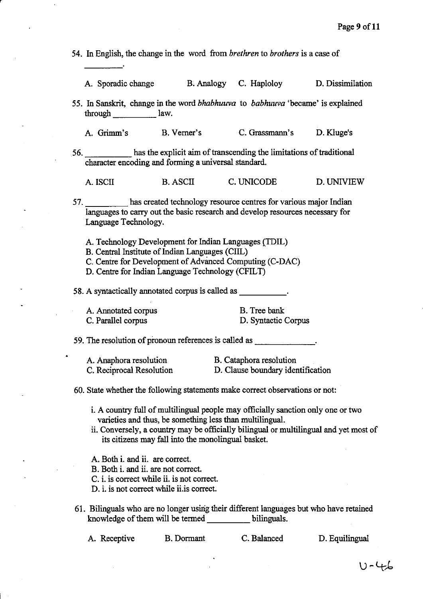54. In English, the change in the word from *brethren* to *brothers* is a case of

|  | A. Sporadic change |  | B. Analogy C. Haploloy | D. Dissimilation |
|--|--------------------|--|------------------------|------------------|
|--|--------------------|--|------------------------|------------------|

55. In Sanskrit, change in the word *bhabhuuva* to *babhuuva* 'became' is explained through law.

A. Grimm's B. Verner's C. Grassmann's D. Kluge's

56. has the explicit aim of transcending the limitations of traditional character encoding and forming a universal standard.

A. ISClI B.ASClI C. UNICODE D.UNIVIEW

57. has created technology resource centres for various major Indian languages to carry out the basic research and develop resources necessary for Language Technology.

- A. Technology Development for Indian Languages (TDIL)
- B. Central Institute of Indian Languages (CIIL)

C. Centre for Development of Advanced Computing (C-DAC)

D. Centre for Indian Language Technology (CFILT)

58. A syntactically annotated corpus is called as \_\_\_\_\_\_\_\_\_\_\_.

A. Annotated corpus C. Parallel corpus

r

B. Tree bank: D. Syntactic Corpus

59. The resolution of pronoun references is called as  $\qquad \qquad$ .

A. Anaphora resolution B. Cataphora resolution C. Reciprocal Resolution D. Clause boundary identification

60. State whether the following statements make correct observations or not:

- i. A country full of multilingual people may officially sanction only one or two varieties and thus, be something less than multilingual.
- ii. Conversely, a country may be officially bilingual or multilingual and yet most of its citizens may fall into the monolingual basket.
- A. Both i. and ii. are correct.
- B. Both i. and ii. are not correct.

C. i. is correct while ii. is not correct.

D. i. is not correct while ii.is correct.

61. Bilinguals who are no longer using their different languages but who have retained knowledge of them will be termed bilinguals.

A. Receptive B.Dormant C. Balanced D. Equilingual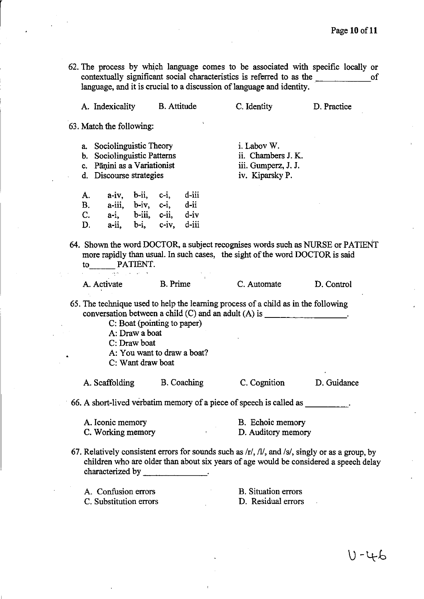62. The process by which language comes to be associated with specific locally or contextually significant social characteristics is referred to as the <u>second</u> of language, and it is crucial to a discussion of language and identity.

| A. Indexicality                                                                                                                                                                                                                                                                            |                                                                                                      | <b>B.</b> Attitude | C. Identity                                                                                                                                                    | D. Practice |  |  |
|--------------------------------------------------------------------------------------------------------------------------------------------------------------------------------------------------------------------------------------------------------------------------------------------|------------------------------------------------------------------------------------------------------|--------------------|----------------------------------------------------------------------------------------------------------------------------------------------------------------|-------------|--|--|
| 63. Match the following:                                                                                                                                                                                                                                                                   |                                                                                                      |                    |                                                                                                                                                                |             |  |  |
| a. Sociolinguistic Theory<br>b. Sociolinguistic Patterns<br>c. Pāņini as a Variationist<br>d. Discourse strategies                                                                                                                                                                         |                                                                                                      |                    | i. Labov W.<br>ii. Chambers J. K.<br>iii. Gumperz, J. J.<br>iv. Kiparsky P.                                                                                    |             |  |  |
| А.<br><b>B.</b><br>$C_{\cdot}$<br>D.                                                                                                                                                                                                                                                       | a-iv, b-ii, c-i, d-iii<br>a-iii, b-iv, c-i, d-ii<br>a-i, b-iii, c-ii, d-iv<br>a-ii, b-i, c-iv, d-iii |                    |                                                                                                                                                                |             |  |  |
|                                                                                                                                                                                                                                                                                            | consumer and provide                                                                                 |                    | 64. Shown the word DOCTOR, a subject recognises words such as NURSE or PATIENT<br>more rapidly than usual. In such cases, the sight of the word DOCTOR is said |             |  |  |
| A. Activate B. Prime                                                                                                                                                                                                                                                                       |                                                                                                      |                    | C. Automate                                                                                                                                                    | D. Control  |  |  |
| 65. The technique used to help the learning process of a child as in the following<br>conversation between a child $(C)$ and an adult $(A)$ is _____________________.<br>C: Boat (pointing to paper)<br>A: Draw a boat<br>C: Draw boat<br>A: You want to draw a boat?<br>C: Want draw boat |                                                                                                      |                    |                                                                                                                                                                |             |  |  |
| A. Scaffolding                                                                                                                                                                                                                                                                             |                                                                                                      | B. Coaching        | C. Cognition                                                                                                                                                   | D. Guidance |  |  |
|                                                                                                                                                                                                                                                                                            |                                                                                                      |                    | 66. A short-lived verbatim memory of a piece of speech is called as                                                                                            |             |  |  |
| B. Echoic memory<br>A. Iconic memory<br>C. Working memory<br>D. Auditory memory                                                                                                                                                                                                            |                                                                                                      |                    |                                                                                                                                                                |             |  |  |
| 67. Relatively consistent errors for sounds such as $\pi/$ , $\pi/$ , and $\pi/$ , singly or as a group, by<br>children who are older than about six years of age would be considered a speech delay<br>characterized by                                                                   |                                                                                                      |                    |                                                                                                                                                                |             |  |  |
| A. Confusion errors<br>C. Substitution errors                                                                                                                                                                                                                                              |                                                                                                      |                    | <b>B.</b> Situation errors<br>D. Residual errors                                                                                                               |             |  |  |

 $0 - 46$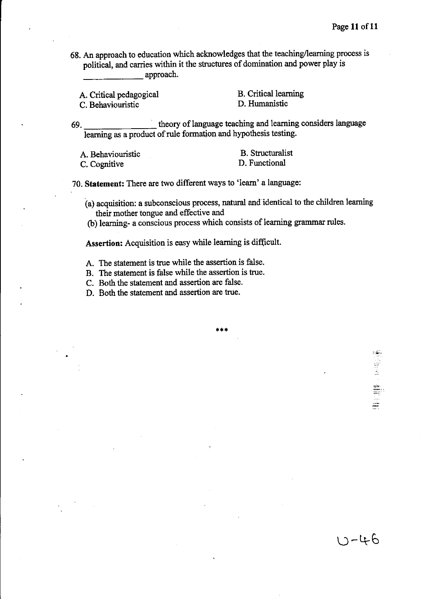<u> U-46</u>

68. An approach to education which acknowledges that the teaching/learning process is political, and carries within it the structures of domination and power play is approach.

A. Critical pedagogical

C. Behaviouristic

B. Critical learning D. Humanistic

69. theory oflanguage teaching and learning considers language learning as a product of rule formation and hypothesis testing.

| A. Behaviouristic | <b>B.</b> Structuralist |
|-------------------|-------------------------|
| C. Cognitive      | D. Functional           |

70. **Statement:** There are two different ways to 'learn' a language:

(a) acquisition: a subconscious process, natural and identical to the children learning their mother tongue and effective and

(b) learning- a conscious process which consists of learning grammar rules.

**\*\*\*** 

Assertion: Acquisition is easy while learning is difficult.

- A. The statement is true while the assertion is false.
- B. The statement is false while the assertion is true.
- C. Both the statement and assertion are false.
- D. Both the statement and assertion are true.